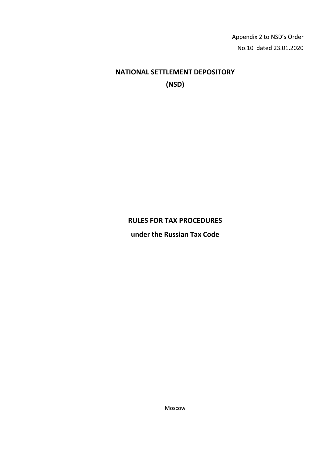Appendix 2 to NSD's Order No.10 dated 23.01.2020

# **NATIONAL SETTLEMENT DEPOSITORY (NSD)**

# **RULES FOR TAX PROCEDURES**

**under the Russian Tax Code**

Moscow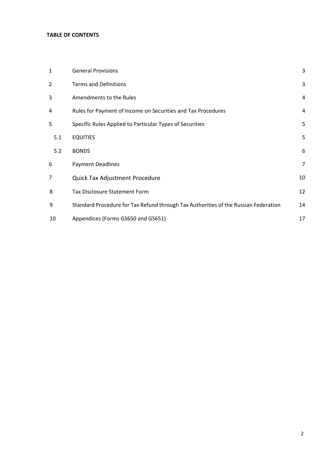#### **TABLE OF CONTENTS**

| 1   | <b>General Provisions</b>                                                           | 3              |
|-----|-------------------------------------------------------------------------------------|----------------|
| 2   | <b>Terms and Definitions</b>                                                        | 3              |
| 3   | Amendments to the Rules                                                             | 4              |
| 4   | Rules for Payment of Income on Securities and Tax Procedures                        | 4              |
| 5   | Specific Rules Applied to Particular Types of Securities                            | 5              |
| 5.1 | <b>EQUITIES</b>                                                                     | 5              |
| 5.2 | <b>BONDS</b>                                                                        | 6              |
| 6   | <b>Payment Deadlines</b>                                                            | $\overline{7}$ |
| 7   | Quick Tax Adjustment Procedure                                                      | 10             |
| 8   | <b>Tax Disclosure Statement Form</b>                                                | 12             |
| 9   | Standard Procedure for Tax Refund through Tax Authorities of the Russian Federation |                |
| 10  | Appendices (Forms GS650 and GS651)                                                  | 17             |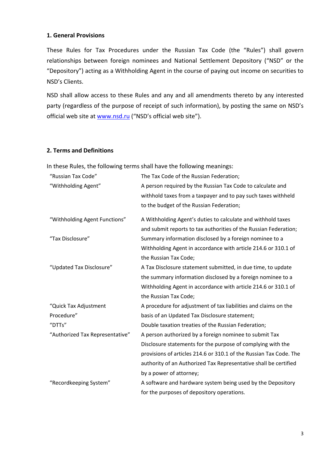#### **1. General Provisions**

These Rules for Tax Procedures under the Russian Tax Code (the "Rules") shall govern relationships between foreign nominees and National Settlement Depository ("NSD" or the "Depository") acting as a Withholding Agent in the course of paying out income on securities to NSD's Clients.

NSD shall allow access to these Rules and any and all amendments thereto by any interested party (regardless of the purpose of receipt of such information), by posting the same on NSD's official web site a[t www.nsd.ru](http://www.nsd.ru/) ("NSD's official web site").

#### **2. Terms and Definitions**

In these Rules, the following terms shall have the following meanings:

| "Russian Tax Code"              | The Tax Code of the Russian Federation;                            |  |  |
|---------------------------------|--------------------------------------------------------------------|--|--|
| "Withholding Agent"             | A person required by the Russian Tax Code to calculate and         |  |  |
|                                 | withhold taxes from a taxpayer and to pay such taxes withheld      |  |  |
|                                 | to the budget of the Russian Federation;                           |  |  |
| "Withholding Agent Functions"   | A Withholding Agent's duties to calculate and withhold taxes       |  |  |
|                                 | and submit reports to tax authorities of the Russian Federation;   |  |  |
| "Tax Disclosure"                | Summary information disclosed by a foreign nominee to a            |  |  |
|                                 | Withholding Agent in accordance with article 214.6 or 310.1 of     |  |  |
|                                 | the Russian Tax Code;                                              |  |  |
| "Updated Tax Disclosure"        | A Tax Disclosure statement submitted, in due time, to update       |  |  |
|                                 | the summary information disclosed by a foreign nominee to a        |  |  |
|                                 | Withholding Agent in accordance with article 214.6 or 310.1 of     |  |  |
|                                 | the Russian Tax Code;                                              |  |  |
| "Quick Tax Adjustment           | A procedure for adjustment of tax liabilities and claims on the    |  |  |
| Procedure"                      | basis of an Updated Tax Disclosure statement;                      |  |  |
| "DTTs"                          | Double taxation treaties of the Russian Federation;                |  |  |
| "Authorized Tax Representative" | A person authorized by a foreign nominee to submit Tax             |  |  |
|                                 | Disclosure statements for the purpose of complying with the        |  |  |
|                                 | provisions of articles 214.6 or 310.1 of the Russian Tax Code. The |  |  |
|                                 | authority of an Authorized Tax Representative shall be certified   |  |  |
|                                 | by a power of attorney;                                            |  |  |
| "Recordkeeping System"          | A software and hardware system being used by the Depository        |  |  |
|                                 | for the purposes of depository operations.                         |  |  |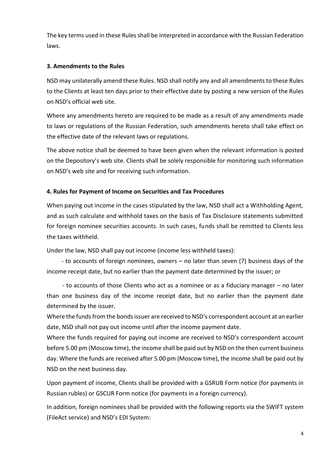The key terms used in these Rules shall be interpreted in accordance with the Russian Federation laws.

## **3. Amendments to the Rules**

NSD may unilaterally amend these Rules. NSD shall notify any and all amendments to these Rules to the Clients at least ten days prior to their effective date by posting a new version of the Rules on NSD's official web site.

Where any amendments hereto are required to be made as a result of any amendments made to laws or regulations of the Russian Federation, such amendments hereto shall take effect on the effective date of the relevant laws or regulations.

The above notice shall be deemed to have been given when the relevant information is posted on the Depository's web site. Clients shall be solely responsible for monitoring such information on NSD's web site and for receiving such information.

## **4. Rules for Payment of Income on Securities and Tax Procedures**

When paying out income in the cases stipulated by the law, NSD shall act a Withholding Agent, and as such calculate and withhold taxes on the basis of Tax Disclosure statements submitted for foreign nominee securities accounts. In such cases, funds shall be remitted to Clients less the taxes withheld.

Under the law, NSD shall pay out income (income less withheld taxes):

- to accounts of foreign nominees, owners – no later than seven (7) business days of the income receipt date, but no earlier than the payment date determined by the issuer; or

- to accounts of those Clients who act as a nominee or as a fiduciary manager – no later than one business day of the income receipt date, but no earlier than the payment date determined by the issuer.

Where the funds from the bonds issuer are received to NSD's correspondent account at an earlier date, NSD shall not pay out income until after the income payment date.

Where the funds required for paying out income are received to NSD's correspondent account before 5.00 pm (Moscow time), the income shall be paid out by NSD on the then current business day. Where the funds are received after 5.00 pm (Moscow time), the income shall be paid out by NSD on the next business day.

Upon payment of income, Clients shall be provided with a GSRUB Form notice (for payments in Russian rubles) or GSCUR Form notice (for payments in a foreign currency).

In addition, foreign nominees shall be provided with the following reports via the SWIFT system (FileAct service) and NSD's EDI System: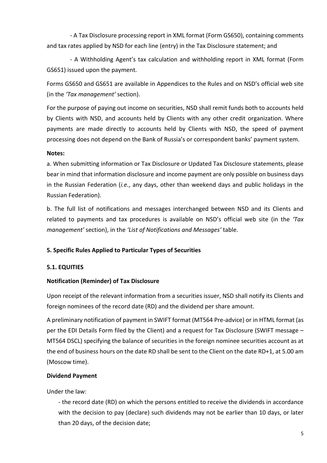- A Tax Disclosure processing report in XML format (Form GS650), containing comments and tax rates applied by NSD for each line (entry) in the Tax Disclosure statement; and

- A Withholding Agent's tax calculation and withholding report in XML format (Form GS651) issued upon the payment.

Forms GS650 and GS651 are available in Appendices to the Rules and on NSD's official web site (in the *'Tax management'* section).

For the purpose of paying out income on securities, NSD shall remit funds both to accounts held by Clients with NSD, and accounts held by Clients with any other credit organization. Where payments are made directly to accounts held by Clients with NSD, the speed of payment processing does not depend on the Bank of Russia's or correspondent banks' payment system.

## **Notes:**

a. When submitting information or Tax Disclosure or Updated Tax Disclosure statements, please bear in mind that information disclosure and income payment are only possible on business days in the Russian Federation (*i.e.*, any days, other than weekend days and public holidays in the Russian Federation).

b. The full list of notifications and messages interchanged between NSD and its Clients and related to payments and tax procedures is available on NSD's official web site (in the *'Tax management'* section), in the *'List of Notifications and Messages'* table.

## **5. Specific Rules Applied to Particular Types of Securities**

# **5.1. EQUITIES**

# **Notification (Reminder) of Tax Disclosure**

Upon receipt of the relevant information from a securities issuer, NSD shall notify its Clients and foreign nominees of the record date (RD) and the dividend per share amount.

A preliminary notification of payment in SWIFT format (MT564 Pre-advice) or in HTML format (as per the EDI Details Form filed by the Client) and a request for Tax Disclosure (SWIFT message – MT564 DSCL) specifying the balance of securities in the foreign nominee securities account as at the end of business hours on the date RD shall be sent to the Client on the date RD+1, at 5.00 am (Moscow time).

# **Dividend Payment**

Under the law:

- the record date (RD) on which the persons entitled to receive the dividends in accordance with the decision to pay (declare) such dividends may not be earlier than 10 days, or later than 20 days, of the decision date;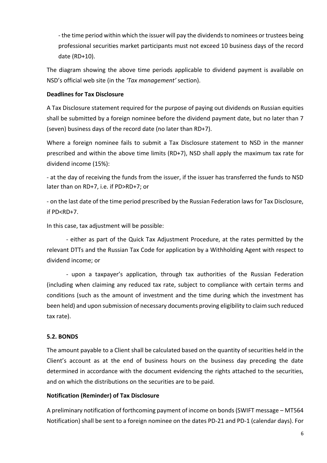- the time period within which the issuer will pay the dividends to nominees or trustees being professional securities market participants must not exceed 10 business days of the record date (RD+10).

The diagram showing the above time periods applicable to dividend payment is available on NSD's official web site (in the *'Tax management'* section).

## **Deadlines for Tax Disclosure**

A Tax Disclosure statement required for the purpose of paying out dividends on Russian equities shall be submitted by a foreign nominee before the dividend payment date, but no later than 7 (seven) business days of the record date (no later than RD+7).

Where a foreign nominee fails to submit a Tax Disclosure statement to NSD in the manner prescribed and within the above time limits (RD+7), NSD shall apply the maximum tax rate for dividend income (15%):

- at the day of receiving the funds from the issuer, if the issuer has transferred the funds to NSD later than on RD+7, i.e. if PD>RD+7; or

- on the last date of the time period prescribed by the Russian Federation laws for Tax Disclosure, if PD<RD+7.

In this case, tax adjustment will be possible:

- either as part of the Quick Tax Adjustment Procedure, at the rates permitted by the relevant DTTs and the Russian Tax Code for application by a Withholding Agent with respect to dividend income; or

- upon a taxpayer's application, through tax authorities of the Russian Federation (including when claiming any reduced tax rate, subject to compliance with certain terms and conditions (such as the amount of investment and the time during which the investment has been held) and upon submission of necessary documents proving eligibility to claim such reduced tax rate).

# **5.2. BONDS**

The amount payable to a Client shall be calculated based on the quantity of securities held in the Client's account as at the end of business hours on the business day preceding the date determined in accordance with the document evidencing the rights attached to the securities, and on which the distributions on the securities are to be paid.

## **Notification (Reminder) of Tax Disclosure**

A preliminary notification of forthcoming payment of income on bonds (SWIFT message – MT564 Notification) shall be sent to a foreign nominee on the dates PD-21 and PD-1 (calendar days). For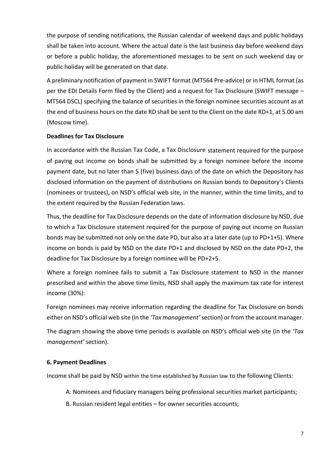the purpose of sending notifications, the Russian calendar of weekend days and public holidays shall be taken into account. Where the actual date is the last business day before weekend days or before a public holiday, the aforementioned messages to be sent on such weekend day or public holiday will be generated on that date.

A preliminary notification of payment in SWIFT format (MT564 Pre-advice) or in HTML format (as per the EDI Details Form filed by the Client) and a request for Tax Disclosure (SWIFT message – MT564 DSCL) specifying the balance of securities in the foreign nominee securities account as at the end of business hours on the date RD shall be sent to the Client on the date RD+1, at 5.00 am (Moscow time).

## **Deadlines for Tax Disclosure**

In accordance with the Russian Tax Code, a Tax Disclosure statement required for the purpose of paying out income on bonds shall be submitted by a foreign nominee before the income payment date, but no later than 5 (five) business days of the date on which the Depository has disclosed information on the payment of distributions on Russian bonds to Depository's Clients (nominees or trustees), on NSD's official web site, in the manner, within the time limits, and to the extent required by the Russian Federation laws.

Thus, the deadline for Tax Disclosure depends on the date of information disclosure by NSD, due to which a Tax Disclosure statement required for the purpose of paying out income on Russian bonds may be submitted not only on the date PD, but also at a later date (up to PD+1+5). Where income on bonds is paid by NSD on the date PD+1 and disclosed by NSD on the date PD+2, the deadline for Tax Disclosure by a foreign nominee will be PD+2+5.

Where a foreign nominee fails to submit a Tax Disclosure statement to NSD in the manner prescribed and within the above time limits, NSD shall apply the maximum tax rate for interest income (30%):

Foreign nominees may receive information regarding the deadline for Tax Disclosure on bonds either on NSD's official web site (in the *'Tax management'*section) or from the account manager.

The diagram showing the above time periods is available on NSD's official web site (in the *'Tax management'* section).

#### **6. Payment Deadlines**

Income shall be paid by NSD within the time established by Russian law to the following Clients:

- A. Nominees and fiduciary managers being professional securities market participants;
- B. Russian resident legal entities for owner securities accounts;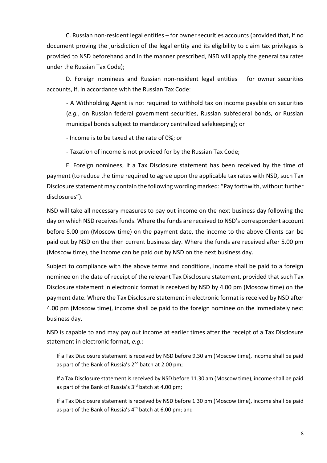C. Russian non-resident legal entities – for owner securities accounts (provided that, if no document proving the jurisdiction of the legal entity and its eligibility to claim tax privileges is provided to NSD beforehand and in the manner prescribed, NSD will apply the general tax rates under the Russian Tax Code);

D. Foreign nominees and Russian non-resident legal entities – for owner securities accounts, if, in accordance with the Russian Tax Code:

- A Withholding Agent is not required to withhold tax on income payable on securities (*e.g.*, on Russian federal government securities, Russian subfederal bonds, or Russian municipal bonds subject to mandatory centralized safekeeping); or

- Income is to be taxed at the rate of 0%; or

- Taxation of income is not provided for by the Russian Tax Code;

E. Foreign nominees, if a Tax Disclosure statement has been received by the time of payment (to reduce the time required to agree upon the applicable tax rates with NSD, such Tax Disclosure statement may contain the following wording marked: "Pay forthwith, without further disclosures").

NSD will take all necessary measures to pay out income on the next business day following the day on which NSD receives funds. Where the funds are received to NSD's correspondent account before 5.00 pm (Moscow time) on the payment date, the income to the above Clients can be paid out by NSD on the then current business day. Where the funds are received after 5.00 pm (Moscow time), the income can be paid out by NSD on the next business day.

Subject to compliance with the above terms and conditions, income shall be paid to a foreign nominee on the date of receipt of the relevant Tax Disclosure statement, provided that such Tax Disclosure statement in electronic format is received by NSD by 4.00 pm (Moscow time) on the payment date. Where the Tax Disclosure statement in electronic format is received by NSD after 4.00 pm (Moscow time), income shall be paid to the foreign nominee on the immediately next business day.

NSD is capable to and may pay out income at earlier times after the receipt of a Tax Disclosure statement in electronic format, *e.g.*:

If a Tax Disclosure statement is received by NSD before 9.30 am (Moscow time), income shall be paid as part of the Bank of Russia's 2<sup>nd</sup> batch at 2.00 pm;

If a Tax Disclosure statement is received by NSD before 11.30 am (Moscow time), income shall be paid as part of the Bank of Russia's  $3<sup>rd</sup>$  batch at 4.00 pm;

If a Tax Disclosure statement is received by NSD before 1.30 pm (Moscow time), income shall be paid as part of the Bank of Russia's  $4<sup>th</sup>$  batch at 6.00 pm; and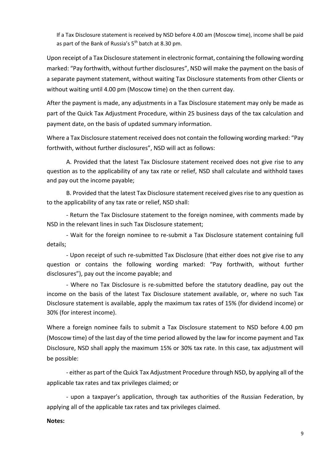If a Tax Disclosure statement is received by NSD before 4.00 am (Moscow time), income shall be paid as part of the Bank of Russia's 5<sup>th</sup> batch at 8.30 pm.

Upon receipt of a Tax Disclosure statement in electronic format, containing the following wording marked: "Pay forthwith, without further disclosures", NSD will make the payment on the basis of a separate payment statement, without waiting Tax Disclosure statements from other Clients or without waiting until 4.00 pm (Moscow time) on the then current day.

After the payment is made, any adjustments in a Tax Disclosure statement may only be made as part of the Quick Tax Adjustment Procedure, within 25 business days of the tax calculation and payment date, on the basis of updated summary information.

Where a Tax Disclosure statement received does not contain the following wording marked: "Pay forthwith, without further disclosures", NSD will act as follows:

A. Provided that the latest Tax Disclosure statement received does not give rise to any question as to the applicability of any tax rate or relief, NSD shall calculate and withhold taxes and pay out the income payable;

B. Provided that the latest Tax Disclosure statement received gives rise to any question as to the applicability of any tax rate or relief, NSD shall:

- Return the Tax Disclosure statement to the foreign nominee, with comments made by NSD in the relevant lines in such Tax Disclosure statement;

- Wait for the foreign nominee to re-submit a Tax Disclosure statement containing full details;

- Upon receipt of such re-submitted Tax Disclosure (that either does not give rise to any question or contains the following wording marked: "Pay forthwith, without further disclosures"), pay out the income payable; and

- Where no Tax Disclosure is re-submitted before the statutory deadline, pay out the income on the basis of the latest Tax Disclosure statement available, or, where no such Tax Disclosure statement is available, apply the maximum tax rates of 15% (for dividend income) or 30% (for interest income).

Where a foreign nominee fails to submit a Tax Disclosure statement to NSD before 4.00 pm (Moscow time) of the last day of the time period allowed by the law for income payment and Tax Disclosure, NSD shall apply the maximum 15% or 30% tax rate. In this case, tax adjustment will be possible:

- either as part of the Quick Tax Adjustment Procedure through NSD, by applying all of the applicable tax rates and tax privileges claimed; or

- upon a taxpayer's application, through tax authorities of the Russian Federation, by applying all of the applicable tax rates and tax privileges claimed.

#### **Notes:**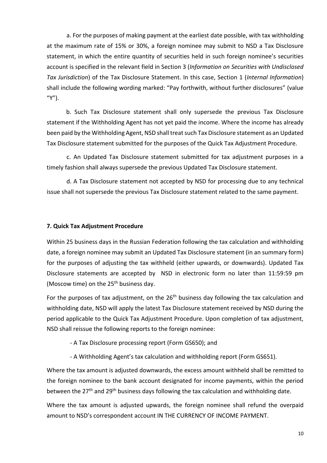a. For the purposes of making payment at the earliest date possible, with tax withholding at the maximum rate of 15% or 30%, a foreign nominee may submit to NSD a Tax Disclosure statement, in which the entire quantity of securities held in such foreign nominee's securities account is specified in the relevant field in Section 3 (*Information on Securities with Undisclosed Tax Jurisdiction*) of the Tax Disclosure Statement. In this case, Section 1 (*Internal Information*) shall include the following wording marked: "Pay forthwith, without further disclosures" (value "Y").

b. Such Tax Disclosure statement shall only supersede the previous Tax Disclosure statement if the Withholding Agent has not yet paid the income. Where the income has already been paid by the Withholding Agent, NSD shall treat such Tax Disclosure statement as an Updated Tax Disclosure statement submitted for the purposes of the Quick Tax Adjustment Procedure.

c. An Updated Tax Disclosure statement submitted for tax adjustment purposes in a timely fashion shall always supersede the previous Updated Tax Disclosure statement.

d. A Tax Disclosure statement not accepted by NSD for processing due to any technical issue shall not supersede the previous Tax Disclosure statement related to the same payment.

#### **7. Quick Tax Adjustment Procedure**

Within 25 business days in the Russian Federation following the tax calculation and withholding date, a foreign nominee may submit an Updated Tax Disclosure statement (in an summary form) for the purposes of adjusting the tax withheld (either upwards, or downwards). Updated Tax Disclosure statements are accepted by NSD in electronic form no later than 11:59:59 pm (Moscow time) on the  $25<sup>th</sup>$  business day.

For the purposes of tax adjustment, on the  $26<sup>th</sup>$  business day following the tax calculation and withholding date, NSD will apply the latest Tax Disclosure statement received by NSD during the period applicable to the Quick Tax Adjustment Procedure. Upon completion of tax adjustment, NSD shall reissue the following reports to the foreign nominee:

- A Tax Disclosure processing report (Form GS650); and

- A Withholding Agent's tax calculation and withholding report (Form GS651).

Where the tax amount is adjusted downwards, the excess amount withheld shall be remitted to the foreign nominee to the bank account designated for income payments, within the period between the 27<sup>th</sup> and 29<sup>th</sup> business days following the tax calculation and withholding date.

Where the tax amount is adjusted upwards, the foreign nominee shall refund the overpaid amount to NSD's correspondent account IN THE CURRENCY OF INCOME PAYMENT.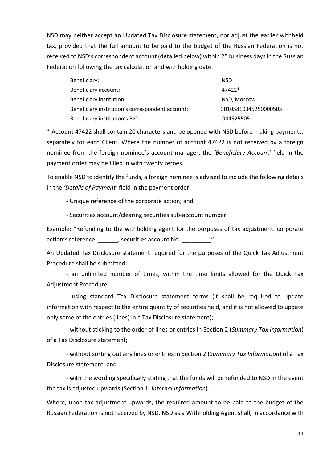NSD may neither accept an Updated Tax Disclosure statement, nor adjust the earlier withheld tax, provided that the full amount to be paid to the budget of the Russian Federation is not received to NSD's correspondent account (detailed below) within 25 business days in the Russian Federation following the tax calculation and withholding date.

| Beneficiary:                                     | <b>NSD</b>           |
|--------------------------------------------------|----------------------|
| Beneficiary account:                             | 47422*               |
| Beneficiary institution:                         | NSD, Moscow          |
| Beneficiary institution's correspondent account: | 30105810345250000505 |
| Beneficiary institution's BIC:                   | 044525505            |

\* Account 47422 shall contain 20 characters and be opened with NSD before making payments, separately for each Client. Where the number of account 47422 is not received by a foreign nominee from the foreign nominee's account manager, the *'Beneficiary Account'* field in the payment order may be filled in with twenty zeroes.

To enable NSD to identify the funds, a foreign nominee is advised to include the following details in the *'Details of Payment'* field in the payment order:

- Unique reference of the corporate action; and

- Securities account/clearing securities sub-account number.

Example: "Refunding to the withholding agent for the purposes of tax adjustment: corporate action's reference:  $\qquad \qquad$ , securities account No.  $\qquad \qquad$ ".

An Updated Tax Disclosure statement required for the purposes of the Quick Tax Adjustment Procedure shall be submitted:

- an unlimited number of times, within the time limits allowed for the Quick Tax Adjustment Procedure;

- using standard Tax Disclosure statement forms (it shall be required to update information with respect to the entire quantity of securities held, and it is not allowed to update only some of the entries (lines) in a Tax Disclosure statement);

- without sticking to the order of lines or entries in Section 2 (*Summary Tax Information*) of a Tax Disclosure statement;

- without sorting out any lines or entries in Section 2 (*Summary Tax Information*) of a Tax Disclosure statement; and

- with the wording specifically stating that the funds will be refunded to NSD in the event the tax is adjusted upwards (Section 1, *Internal Information*).

Where, upon tax adjustment upwards, the required amount to be paid to the budget of the Russian Federation is not received by NSD, NSD as a Withholding Agent shall, in accordance with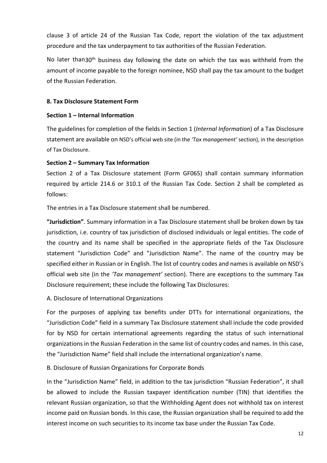clause 3 of article 24 of the Russian Tax Code, report the violation of the tax adjustment procedure and the tax underpayment to tax authorities of the Russian Federation.

No later than30<sup>th</sup> business day following the date on which the tax was withheld from the amount of income payable to the foreign nominee, NSD shall pay the tax amount to the budget of the Russian Federation.

#### **8. Tax Disclosure Statement Form**

#### **Section 1 – Internal Information**

The guidelines for completion of the fields in Section 1 (*Internal Information*) of a Tax Disclosure statement are available on NSD's official web site (in the *'Tax management'* section), in the description of Tax Disclosure.

#### **Section 2 – Summary Tax Information**

Section 2 of a Tax Disclosure statement (Form GF065) shall contain summary information required by article 214.6 or 310.1 of the Russian Tax Code. Section 2 shall be completed as follows:

The entries in a Tax Disclosure statement shall be numbered.

**"Jurisdiction"**. Summary information in a Tax Disclosure statement shall be broken down by tax jurisdiction, i.e. country of tax jurisdiction of disclosed individuals or legal entities. The code of the country and its name shall be specified in the appropriate fields of the Tax Disclosure statement "Jurisdiction Code" and "Jurisdiction Name". The name of the country may be specified either in Russian or in English. The list of country codes and names is available on NSD's official web site (in the *'Tax management'* section). There are exceptions to the summary Tax Disclosure requirement; these include the following Tax Disclosures:

#### A. Disclosure of International Organizations

For the purposes of applying tax benefits under DTTs for international organizations, the "Jurisdiction Code" field in a summary Tax Disclosure statement shall include the code provided for by NSD for certain international agreements regarding the status of such international organizations in the Russian Federation in the same list of country codes and names. In this case, the "Jurisdiction Name" field shall include the international organization's name.

#### B. Disclosure of Russian Organizations for Corporate Bonds

In the "Jurisdiction Name" field, in addition to the tax jurisdiction "Russian Federation", it shall be allowed to include the Russian taxpayer identification number (TIN) that identifies the relevant Russian organization, so that the Withholding Agent does not withhold tax on interest income paid on Russian bonds. In this case, the Russian organization shall be required to add the interest income on such securities to its income tax base under the Russian Tax Code.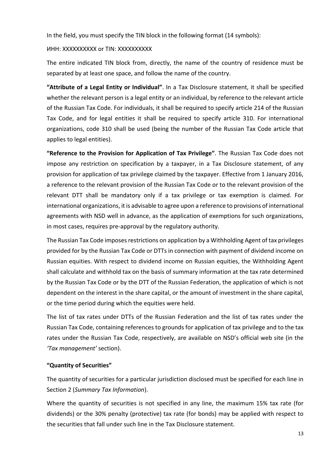In the field, you must specify the TIN block in the following format (14 symbols):

#### ИНН: XXXXXXXXXX or TIN: XXXXXXXXXX

The entire indicated TIN block from, directly, the name of the country of residence must be separated by at least one space, and follow the name of the country.

**"Attribute of a Legal Entity or Individual"**. In a Tax Disclosure statement, it shall be specified whether the relevant person is a legal entity or an individual, by reference to the relevant article of the Russian Tax Code. For individuals, it shall be required to specify article 214 of the Russian Tax Code, and for legal entities it shall be required to specify article 310. For international organizations, code 310 shall be used (being the number of the Russian Tax Code article that applies to legal entities).

**"Reference to the Provision for Application of Tax Privilege"**. The Russian Tax Code does not impose any restriction on specification by a taxpayer, in a Tax Disclosure statement, of any provision for application of tax privilege claimed by the taxpayer. Effective from 1 January 2016, a reference to the relevant provision of the Russian Tax Code or to the relevant provision of the relevant DTT shall be mandatory only if a tax privilege or tax exemption is claimed. For international organizations, it is advisable to agree upon a reference to provisions of international agreements with NSD well in advance, as the application of exemptions for such organizations, in most cases, requires pre-approval by the regulatory authority.

The Russian Tax Code imposes restrictions on application by a Withholding Agent of tax privileges provided for by the Russian Tax Code or DTTs in connection with payment of dividend income on Russian equities. With respect to dividend income on Russian equities, the Withholding Agent shall calculate and withhold tax on the basis of summary information at the tax rate determined by the Russian Tax Code or by the DTT of the Russian Federation, the application of which is not dependent on the interest in the share capital, or the amount of investment in the share capital, or the time period during which the equities were held.

The list of tax rates under DTTs of the Russian Federation and the list of tax rates under the Russian Tax Code, containing references to grounds for application of tax privilege and to the tax rates under the Russian Tax Code, respectively, are available on NSD's official web site (in the *'Tax management'* section).

# **"Quantity of Securities"**

The quantity of securities for a particular jurisdiction disclosed must be specified for each line in Section 2 (*Summary Tax Information*).

Where the quantity of securities is not specified in any line, the maximum 15% tax rate (for dividends) or the 30% penalty (protective) tax rate (for bonds) may be applied with respect to the securities that fall under such line in the Tax Disclosure statement.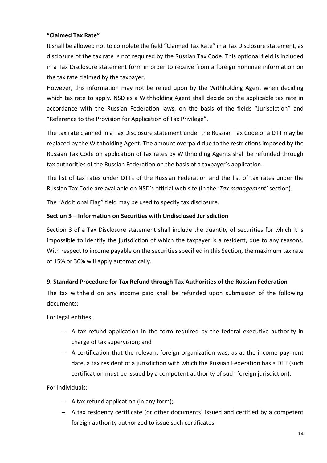## **"Claimed Tax Rate"**

It shall be allowed not to complete the field "Claimed Tax Rate" in a Tax Disclosure statement, as disclosure of the tax rate is not required by the Russian Tax Code. This optional field is included in a Tax Disclosure statement form in order to receive from a foreign nominee information on the tax rate claimed by the taxpayer.

However, this information may not be relied upon by the Withholding Agent when deciding which tax rate to apply. NSD as a Withholding Agent shall decide on the applicable tax rate in accordance with the Russian Federation laws, on the basis of the fields "Jurisdiction" and "Reference to the Provision for Application of Tax Privilege".

The tax rate claimed in a Tax Disclosure statement under the Russian Tax Code or a DTT may be replaced by the Withholding Agent. The amount overpaid due to the restrictions imposed by the Russian Tax Code on application of tax rates by Withholding Agents shall be refunded through tax authorities of the Russian Federation on the basis of a taxpayer's application.

The list of tax rates under DTTs of the Russian Federation and the list of tax rates under the Russian Tax Code are available on NSD's official web site (in the *'Tax management'* section).

The "Additional Flag" field may be used to specify tax disclosure.

## **Section 3 – Information on Securities with Undisclosed Jurisdiction**

Section 3 of a Tax Disclosure statement shall include the quantity of securities for which it is impossible to identify the jurisdiction of which the taxpayer is a resident, due to any reasons. With respect to income payable on the securities specified in this Section, the maximum tax rate of 15% or 30% will apply automatically.

# **9. Standard Procedure for Tax Refund through Tax Authorities of the Russian Federation**

The tax withheld on any income paid shall be refunded upon submission of the following documents:

For legal entities:

- $-$  A tax refund application in the form required by the federal executive authority in charge of tax supervision; and
- $-$  A certification that the relevant foreign organization was, as at the income payment date, a tax resident of a jurisdiction with which the Russian Federation has a DTT (such certification must be issued by a competent authority of such foreign jurisdiction).

For individuals:

- $-$  A tax refund application (in any form);
- A tax residency certificate (or other documents) issued and certified by a competent foreign authority authorized to issue such certificates.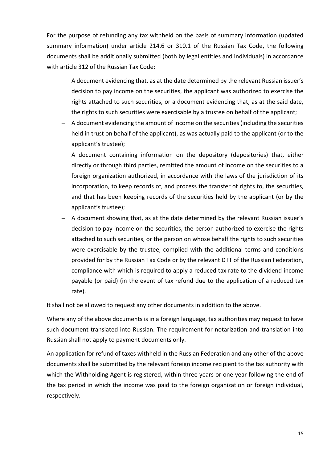For the purpose of refunding any tax withheld on the basis of summary information (updated summary information) under article 214.6 or 310.1 of the Russian Tax Code, the following documents shall be additionally submitted (both by legal entities and individuals) in accordance with article 312 of the Russian Tax Code:

- A document evidencing that, as at the date determined by the relevant Russian issuer's decision to pay income on the securities, the applicant was authorized to exercise the rights attached to such securities, or a document evidencing that, as at the said date, the rights to such securities were exercisable by a trustee on behalf of the applicant;
- A document evidencing the amount of income on the securities (including the securities held in trust on behalf of the applicant), as was actually paid to the applicant (or to the applicant's trustee);
- A document containing information on the depository (depositories) that, either directly or through third parties, remitted the amount of income on the securities to a foreign organization authorized, in accordance with the laws of the jurisdiction of its incorporation, to keep records of, and process the transfer of rights to, the securities, and that has been keeping records of the securities held by the applicant (or by the applicant's trustee);
- A document showing that, as at the date determined by the relevant Russian issuer's decision to pay income on the securities, the person authorized to exercise the rights attached to such securities, or the person on whose behalf the rights to such securities were exercisable by the trustee, complied with the additional terms and conditions provided for by the Russian Tax Code or by the relevant DTT of the Russian Federation, compliance with which is required to apply a reduced tax rate to the dividend income payable (or paid) (in the event of tax refund due to the application of a reduced tax rate).

It shall not be allowed to request any other documents in addition to the above.

Where any of the above documents is in a foreign language, tax authorities may request to have such document translated into Russian. The requirement for notarization and translation into Russian shall not apply to payment documents only.

An application for refund of taxes withheld in the Russian Federation and any other of the above documents shall be submitted by the relevant foreign income recipient to the tax authority with which the Withholding Agent is registered, within three years or one year following the end of the tax period in which the income was paid to the foreign organization or foreign individual, respectively.